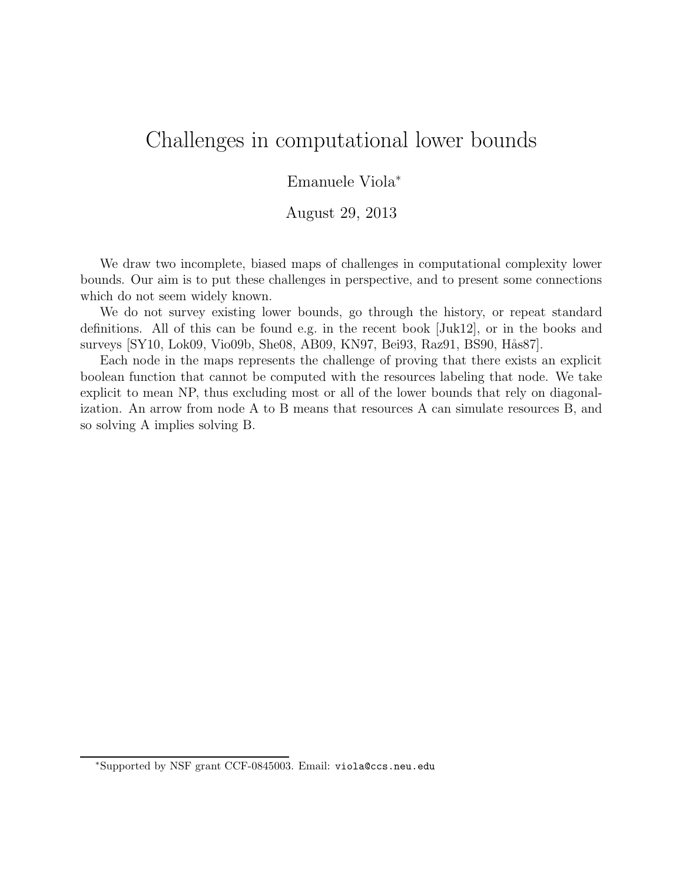## Challenges in computational lower bounds

## Emanuele Viola<sup>∗</sup>

## August 29, 2013

We draw two incomplete, biased maps of challenges in computational complexity lower bounds. Our aim is to put these challenges in perspective, and to present some connections which do not seem widely known.

We do not survey existing lower bounds, go through the history, or repeat standard definitions. All of this can be found e.g. in the recent book [Juk12], or in the books and surveys [SY10, Lok09, Vio09b, She08, AB09, KN97, Bei93, Raz91, BS90, Hås87].

Each node in the maps represents the challenge of proving that there exists an explicit boolean function that cannot be computed with the resources labeling that node. We take explicit to mean NP, thus excluding most or all of the lower bounds that rely on diagonalization. An arrow from node A to B means that resources A can simulate resources B, and so solving A implies solving B.

<sup>∗</sup>Supported by NSF grant CCF-0845003. Email: viola@ccs.neu.edu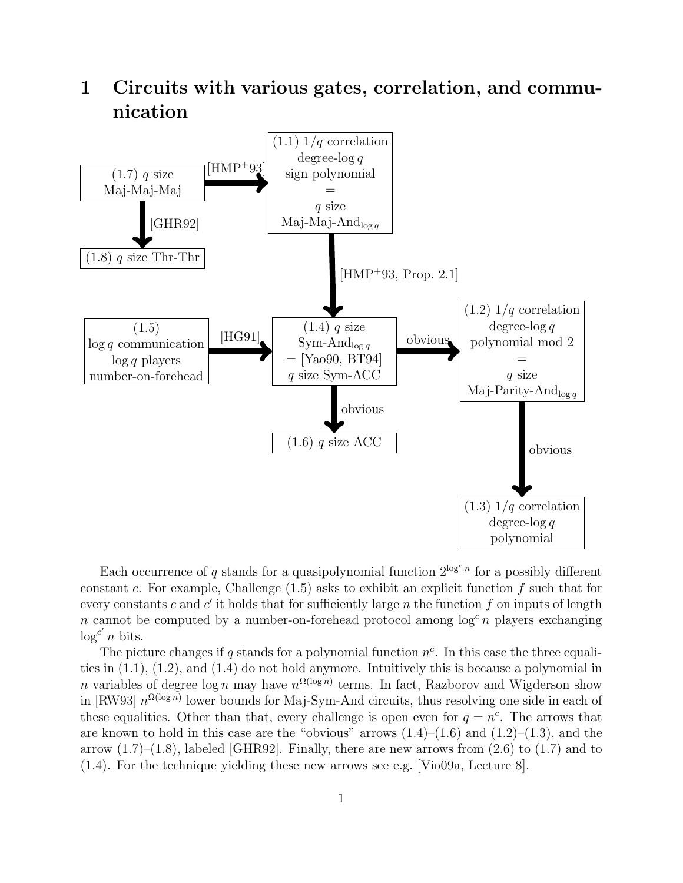



Each occurrence of q stands for a quasipolynomial function  $2^{\log^c n}$  for a possibly different constant c. For example, Challenge  $(1.5)$  asks to exhibit an explicit function f such that for every constants c and  $c'$  it holds that for sufficiently large n the function f on inputs of length n cannot be computed by a number-on-forehead protocol among  $\log^c n$  players exchanging  $\log^{c'} n$  bits.

The picture changes if q stands for a polynomial function  $n^c$ . In this case the three equalities in  $(1.1)$ ,  $(1.2)$ , and  $(1.4)$  do not hold anymore. Intuitively this is because a polynomial in *n* variables of degree  $\log n$  may have  $n^{\Omega(\log n)}$  terms. In fact, Razborov and Wigderson show in [RW93]  $n^{\Omega(\log n)}$  lower bounds for Maj-Sym-And circuits, thus resolving one side in each of these equalities. Other than that, every challenge is open even for  $q = n^c$ . The arrows that are known to hold in this case are the "obvious" arrows  $(1.4)$ – $(1.6)$  and  $(1.2)$ – $(1.3)$ , and the arrow  $(1.7)$ – $(1.8)$ , labeled [GHR92]. Finally, there are new arrows from  $(2.6)$  to  $(1.7)$  and to (1.4). For the technique yielding these new arrows see e.g. [Vio09a, Lecture 8].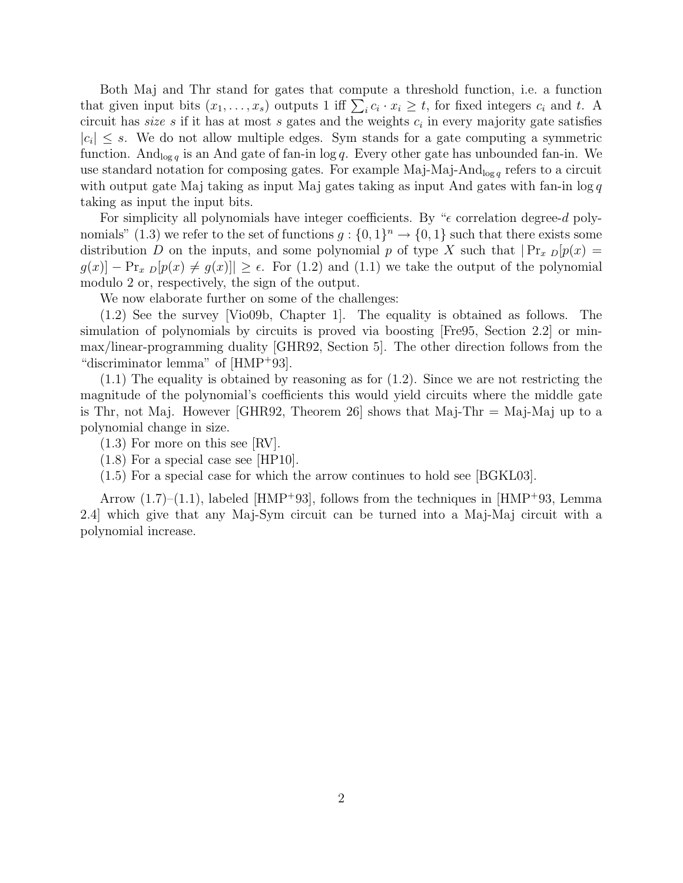Both Maj and Thr stand for gates that compute a threshold function, i.e. a function that given input bits  $(x_1, \ldots, x_s)$  outputs 1 iff  $\sum_i c_i \cdot x_i \ge t$ , for fixed integers  $c_i$  and t. A circuit has *size*  $s$  if it has at most  $s$  gates and the weights  $c_i$  in every majority gate satisfies  $|c_i| \leq s$ . We do not allow multiple edges. Sym stands for a gate computing a symmetric function. And<sub>log q</sub> is an And gate of fan-in log q. Every other gate has unbounded fan-in. We use standard notation for composing gates. For example Maj-Maj-And<sub>log q</sub> refers to a circuit with output gate Maj taking as input Maj gates taking as input And gates with fan-in  $\log q$ taking as input the input bits.

For simplicity all polynomials have integer coefficients. By " $\epsilon$  correlation degree-d polynomials" (1.3) we refer to the set of functions  $g: \{0,1\}^n \to \{0,1\}$  such that there exists some distribution D on the inputs, and some polynomial p of type X such that  $\Pr_x p[p(x) =$  $g(x)$  –  $\Pr_x$   $p[p(x) \neq g(x)]$   $\geq \epsilon$ . For (1.2) and (1.1) we take the output of the polynomial modulo 2 or, respectively, the sign of the output.

We now elaborate further on some of the challenges:

(1.2) See the survey [Vio09b, Chapter 1]. The equality is obtained as follows. The simulation of polynomials by circuits is proved via boosting [Fre95, Section 2.2] or minmax/linear-programming duality [GHR92, Section 5]. The other direction follows from the "discriminator lemma" of [HMP<sup>+</sup>93].

 $(1.1)$  The equality is obtained by reasoning as for  $(1.2)$ . Since we are not restricting the magnitude of the polynomial's coefficients this would yield circuits where the middle gate is Thr, not Maj. However [GHR92, Theorem 26] shows that Maj-Thr  $=$  Maj-Maj up to a polynomial change in size.

(1.3) For more on this see [RV].

(1.8) For a special case see [HP10].

(1.5) For a special case for which the arrow continues to hold see [BGKL03].

Arrow  $(1.7)$ – $(1.1)$ , labeled [HMP<sup>+</sup>93], follows from the techniques in [HMP<sup>+</sup>93, Lemma 2.4] which give that any Maj-Sym circuit can be turned into a Maj-Maj circuit with a polynomial increase.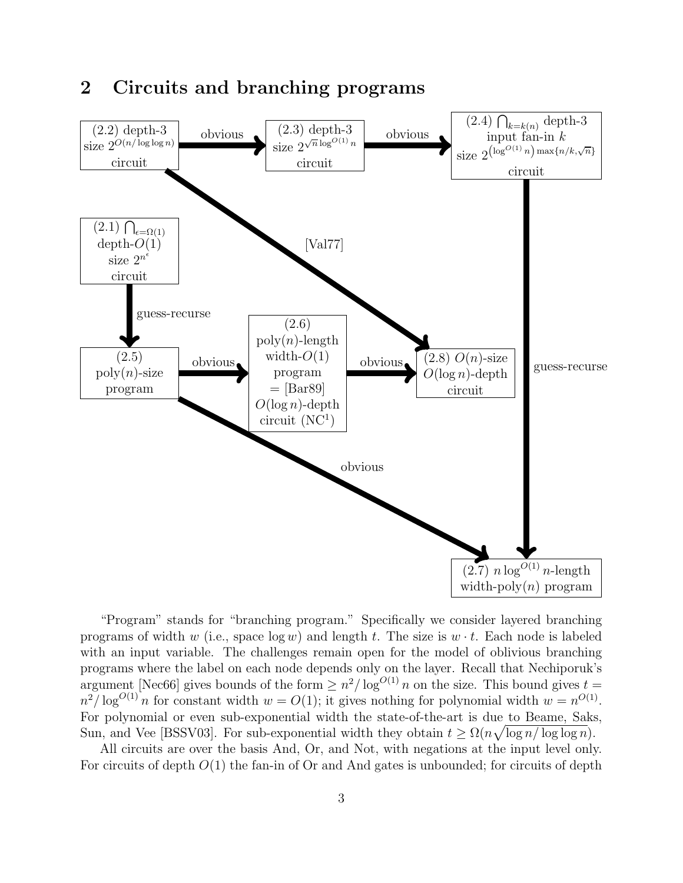

"Program" stands for "branching program." Specifically we consider layered branching programs of width w (i.e., space  $\log w$ ) and length t. The size is  $w \cdot t$ . Each node is labeled with an input variable. The challenges remain open for the model of oblivious branching programs where the label on each node depends only on the layer. Recall that Nechiporuk's argument [Nec66] gives bounds of the form  $\geq n^2/\log^{O(1)} n$  on the size. This bound gives  $t = O(1)$  $n^2/\log^{O(1)} n$  for constant width  $w = O(1)$ ; it gives nothing for polynomial width  $w = n^{O(1)}$ . For polynomial or even sub-exponential width the state-of-the-art is due to Beame, Saks, Sun, and Vee [BSSV03]. For sub-exponential width they obtain  $t \ge \Omega(n\sqrt{\log n/\log \log n})$ .

All circuits are over the basis And, Or, and Not, with negations at the input level only. For circuits of depth  $O(1)$  the fan-in of Or and And gates is unbounded; for circuits of depth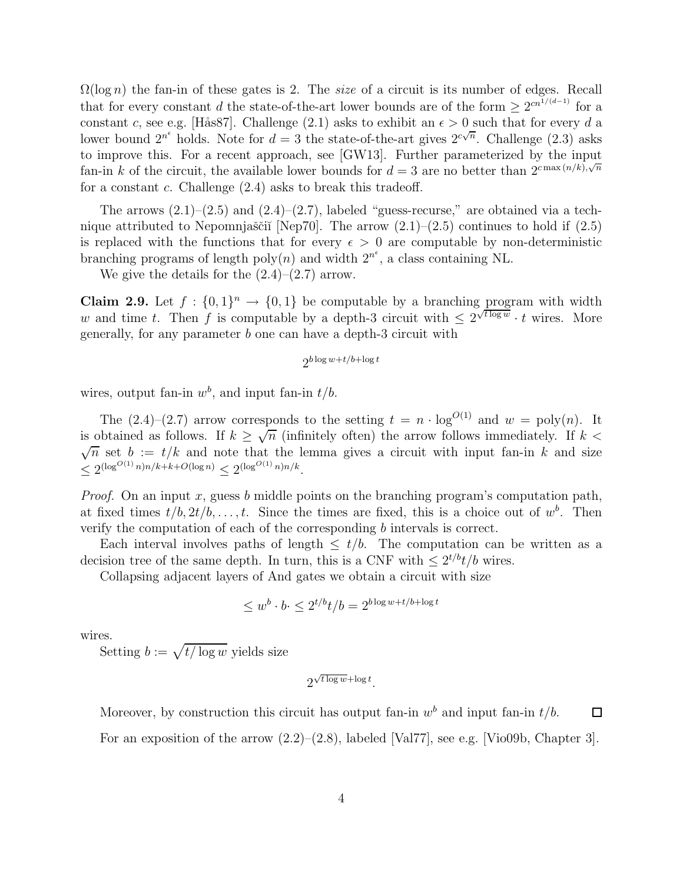$\Omega(\log n)$  the fan-in of these gates is 2. The *size* of a circuit is its number of edges. Recall that for every constant d the state-of-the-art lower bounds are of the form  $\geq 2^{cn^{1/(d-1)}}$  for a constant c, see e.g. [Hås87]. Challenge (2.1) asks to exhibit an  $\epsilon > 0$  such that for every d a lower bound  $2^{n^e}$  holds. Note for  $d=3$  the state-of-the-art gives  $2^{c\sqrt{n}}$ . Challenge  $(2.3)$  asks to improve this. For a recent approach, see [GW13]. Further parameterized by the input fan-in k of the circuit, the available lower bounds for  $d=3$  are no better than  $2^{c \max(n/k)} \sqrt{n}$ for a constant c. Challenge  $(2.4)$  asks to break this tradeoff.

The arrows  $(2.1)$ – $(2.5)$  and  $(2.4)$ – $(2.7)$ , labeled "guess-recurse," are obtained via a technique attributed to Nepomnjaščiĭ [Nep70]. The arrow  $(2.1)$ – $(2.5)$  continues to hold if  $(2.5)$ is replaced with the functions that for every  $\epsilon > 0$  are computable by non-deterministic branching programs of length  $poly(n)$  and width  $2^{n^{\epsilon}}$ , a class containing NL.

We give the details for the  $(2.4)$ – $(2.7)$  arrow.

**Claim 2.9.** Let  $f : \{0,1\}^n \to \{0,1\}$  be computable by a branching program with width w and time t. Then f is computable by a depth-3 circuit with  $\leq 2^{\sqrt{\log w}} \cdot t$  wires. More generally, for any parameter b one can have a depth-3 circuit with

$$
2^{b\log w+t/b+\log t}
$$

wires, output fan-in  $w^b$ , and input fan-in  $t/b$ .

The  $(2.4)$ – $(2.7)$  arrow corresponds to the setting  $t = n \cdot \log^{O(1)}$  and  $w = \text{poly}(n)$ . It is obtained as follows. If  $k \geq \sqrt{n}$  (infinitely often) the arrow follows immediately. If  $k <$  $\sqrt{n}$  set  $b := t/k$  and note that the lemma gives a circuit with input fan-in k and size  $\leq 2^{(\log^{O(1)} n)n/k + k + O(\log n)} \leq 2^{(\log^{O(1)} n)n/k}.$ 

*Proof.* On an input  $x$ , guess  $b$  middle points on the branching program's computation path, at fixed times  $t/b, 2t/b, \ldots, t$ . Since the times are fixed, this is a choice out of  $w^b$ . Then verify the computation of each of the corresponding b intervals is correct.

Each interval involves paths of length  $\leq t/b$ . The computation can be written as a decision tree of the same depth. In turn, this is a CNF with  $\leq 2^{t/b}t/b$  wires.

Collapsing adjacent layers of And gates we obtain a circuit with size

$$
\leq w^b \cdot b \cdot \leq 2^{t/b} t/b = 2^{b \log w + t/b + \log t}
$$

wires.

Setting  $b := \sqrt{t/\log w}$  yields size

$$
2^{\sqrt{t\log w} + \log t}.
$$

Moreover, by construction this circuit has output fan-in  $w<sup>b</sup>$  and input fan-in  $t/b$ .  $\Box$ 

For an exposition of the arrow  $(2.2)$ – $(2.8)$ , labeled [Val77], see e.g. [Vio09b, Chapter 3].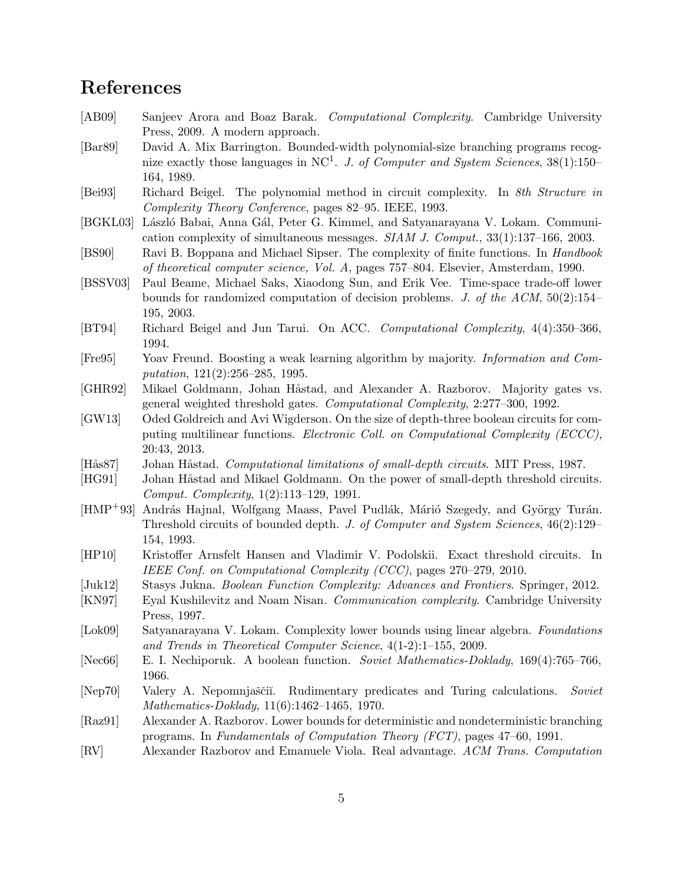## References

- [AB09] Sanjeev Arora and Boaz Barak. *Computational Complexity*. Cambridge University Press, 2009. A modern approach.
- [Bar89] David A. Mix Barrington. Bounded-width polynomial-size branching programs recognize exactly those languages in NC<sup>1</sup> . *J. of Computer and System Sciences*, 38(1):150– 164, 1989.
- [Bei93] Richard Beigel. The polynomial method in circuit complexity. In *8th Structure in Complexity Theory Conference*, pages 82–95. IEEE, 1993.
- [BGKL03] László Babai, Anna Gál, Peter G. Kimmel, and Satyanarayana V. Lokam. Communication complexity of simultaneous messages. *SIAM J. Comput.*, 33(1):137–166, 2003.
- [BS90] Ravi B. Boppana and Michael Sipser. The complexity of finite functions. In *Handbook of theoretical computer science, Vol. A*, pages 757–804. Elsevier, Amsterdam, 1990.
- [BSSV03] Paul Beame, Michael Saks, Xiaodong Sun, and Erik Vee. Time-space trade-off lower bounds for randomized computation of decision problems. *J. of the ACM*, 50(2):154– 195, 2003.
- [BT94] Richard Beigel and Jun Tarui. On ACC. *Computational Complexity*, 4(4):350–366, 1994.
- [Fre95] Yoav Freund. Boosting a weak learning algorithm by majority. *Information and Computation*, 121(2):256–285, 1995.
- [GHR92] Mikael Goldmann, Johan Håstad, and Alexander A. Razborov. Majority gates vs. general weighted threshold gates. *Computational Complexity*, 2:277–300, 1992.
- [GW13] Oded Goldreich and Avi Wigderson. On the size of depth-three boolean circuits for computing multilinear functions. *Electronic Coll. on Computational Complexity (ECCC)*, 20:43, 2013.
- [Hås87] Johan Håstad. *Computational limitations of small-depth circuits*. MIT Press, 1987.
- [HG91] Johan Håstad and Mikael Goldmann. On the power of small-depth threshold circuits. *Comput. Complexity*, 1(2):113–129, 1991.
- [HMP<sup>+93]</sup> András Hajnal, Wolfgang Maass, Pavel Pudlák, Márió Szegedy, and György Turán. Threshold circuits of bounded depth. *J. of Computer and System Sciences*, 46(2):129– 154, 1993.
- [HP10] Kristoffer Arnsfelt Hansen and Vladimir V. Podolskii. Exact threshold circuits. In *IEEE Conf. on Computational Complexity (CCC)*, pages 270–279, 2010.
- [Juk12] Stasys Jukna. *Boolean Function Complexity: Advances and Frontiers*. Springer, 2012.
- [KN97] Eyal Kushilevitz and Noam Nisan. *Communication complexity*. Cambridge University Press, 1997.
- [Lok09] Satyanarayana V. Lokam. Complexity lower bounds using linear algebra. *Foundations and Trends in Theoretical Computer Science*, 4(1-2):1–155, 2009.
- [Nec66] E. I. Nechiporuk. A boolean function. *Soviet Mathematics-Doklady*, 169(4):765–766, 1966.
- [Nep70] Valery A. Nepomnjaščiĭ. Rudimentary predicates and Turing calculations. *Soviet Mathematics-Doklady*, 11(6):1462–1465, 1970.
- [Raz91] Alexander A. Razborov. Lower bounds for deterministic and nondeterministic branching programs. In *Fundamentals of Computation Theory (FCT)*, pages 47–60, 1991.
- [RV] Alexander Razborov and Emanuele Viola. Real advantage. *ACM Trans. Computation*